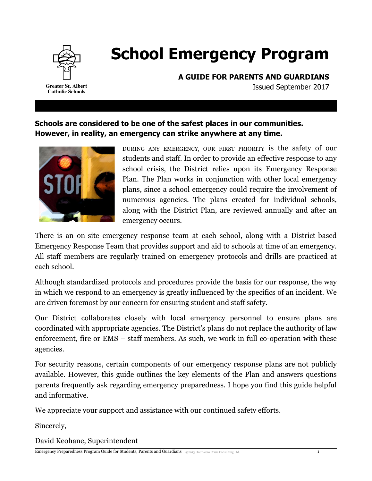

# **School Emergency Program**

**A GUIDE FOR PARENTS AND GUARDIANS**

Issued September 2017

**Schools are considered to be one of the safest places in our communities. However, in reality, an emergency can strike anywhere at any time.**



DURING ANY EMERGENCY, OUR FIRST PRIORITY is the safety of our students and staff. In order to provide an effective response to any school crisis, the District relies upon its Emergency Response Plan. The Plan works in conjunction with other local emergency plans, since a school emergency could require the involvement of numerous agencies. The plans created for individual schools, along with the District Plan, are reviewed annually and after an emergency occurs.

There is an on-site emergency response team at each school, along with a District-based Emergency Response Team that provides support and aid to schools at time of an emergency. All staff members are regularly trained on emergency protocols and drills are practiced at each school.

Although standardized protocols and procedures provide the basis for our response, the way in which we respond to an emergency is greatly influenced by the specifics of an incident. We are driven foremost by our concern for ensuring student and staff safety.

Our District collaborates closely with local emergency personnel to ensure plans are coordinated with appropriate agencies. The District's plans do not replace the authority of law enforcement, fire or EMS – staff members. As such, we work in full co-operation with these agencies.

For security reasons, certain components of our emergency response plans are not publicly available. However, this guide outlines the key elements of the Plan and answers questions parents frequently ask regarding emergency preparedness. I hope you find this guide helpful and informative.

We appreciate your support and assistance with our continued safety efforts.

Sincerely,

David Keohane, Superintendent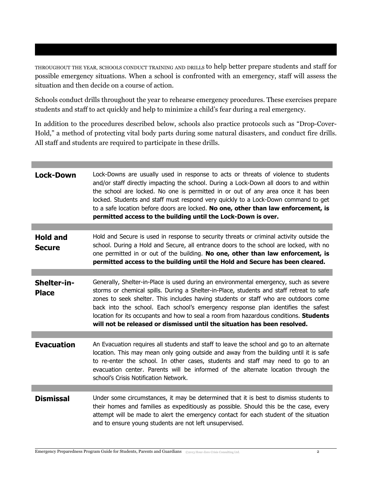THROUGHOUT THE YEAR, SCHOOLS CONDUCT TRAINING AND DRILLS to help better prepare students and staff for possible emergency situations. When a school is confronted with an emergency, staff will assess the situation and then decide on a course of action.

Schools conduct drills throughout the year to rehearse emergency procedures. These exercises prepare students and staff to act quickly and help to minimize a child's fear during a real emergency.

In addition to the procedures described below, schools also practice protocols such as "Drop-Cover-Hold," a method of protecting vital body parts during some natural disasters, and conduct fire drills. All staff and students are required to participate in these drills.

| <b>Lock-Down</b>                 | Lock-Downs are usually used in response to acts or threats of violence to students<br>and/or staff directly impacting the school. During a Lock-Down all doors to and within<br>the school are locked. No one is permitted in or out of any area once it has been<br>locked. Students and staff must respond very quickly to a Lock-Down command to get<br>to a safe location before doors are locked. No one, other than law enforcement, is<br>permitted access to the building until the Lock-Down is over.                     |
|----------------------------------|------------------------------------------------------------------------------------------------------------------------------------------------------------------------------------------------------------------------------------------------------------------------------------------------------------------------------------------------------------------------------------------------------------------------------------------------------------------------------------------------------------------------------------|
|                                  |                                                                                                                                                                                                                                                                                                                                                                                                                                                                                                                                    |
| <b>Hold and</b><br><b>Secure</b> | Hold and Secure is used in response to security threats or criminal activity outside the<br>school. During a Hold and Secure, all entrance doors to the school are locked, with no<br>one permitted in or out of the building. No one, other than law enforcement, is<br>permitted access to the building until the Hold and Secure has been cleared.                                                                                                                                                                              |
|                                  |                                                                                                                                                                                                                                                                                                                                                                                                                                                                                                                                    |
| Shelter-in-<br><b>Place</b>      | Generally, Shelter-in-Place is used during an environmental emergency, such as severe<br>storms or chemical spills. During a Shelter-in-Place, students and staff retreat to safe<br>zones to seek shelter. This includes having students or staff who are outdoors come<br>back into the school. Each school's emergency response plan identifies the safest<br>location for its occupants and how to seal a room from hazardous conditions. Students<br>will not be released or dismissed until the situation has been resolved. |
|                                  |                                                                                                                                                                                                                                                                                                                                                                                                                                                                                                                                    |
| <b>Evacuation</b>                | An Evacuation requires all students and staff to leave the school and go to an alternate<br>location. This may mean only going outside and away from the building until it is safe<br>to re-enter the school. In other cases, students and staff may need to go to an<br>evacuation center. Parents will be informed of the alternate location through the<br>school's Crisis Notification Network.                                                                                                                                |
|                                  |                                                                                                                                                                                                                                                                                                                                                                                                                                                                                                                                    |
| <b>Dismissal</b>                 | Under some circumstances, it may be determined that it is best to dismiss students to<br>their homes and families as expeditiously as possible. Should this be the case, every<br>attempt will be made to alert the emergency contact for each student of the situation<br>and to ensure young students are not left unsupervised.                                                                                                                                                                                                 |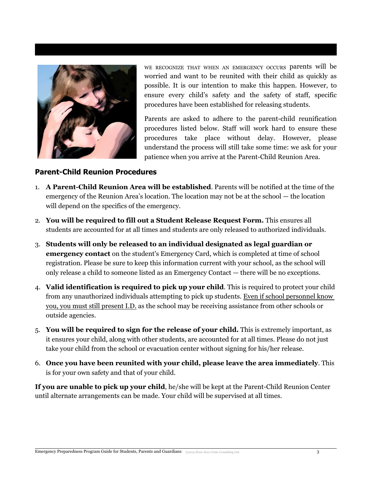

WE RECOGNIZE THAT WHEN AN EMERGENCY OCCURS parents will be worried and want to be reunited with their child as quickly as possible. It is our intention to make this happen. However, to ensure every child's safety and the safety of staff, specific procedures have been established for releasing students.

Parents are asked to adhere to the parent-child reunification procedures listed below. Staff will work hard to ensure these procedures take place without delay. However, please understand the process will still take some time: we ask for your patience when you arrive at the Parent-Child Reunion Area.

## **Parent-Child Reunion Procedures**

- 1. **A Parent-Child Reunion Area will be established**. Parents will be notified at the time of the emergency of the Reunion Area's location. The location may not be at the school — the location will depend on the specifics of the emergency.
- 2. **You will be required to fill out a Student Release Request Form.** This ensures all students are accounted for at all times and students are only released to authorized individuals.
- 3. **Students will only be released to an individual designated as legal guardian or emergency contact** on the student's Emergency Card, which is completed at time of school registration. Please be sure to keep this information current with your school, as the school will only release a child to someone listed as an Emergency Contact — there will be no exceptions.
- 4. **Valid identification is required to pick up your child**. This is required to protect your child from any unauthorized individuals attempting to pick up students. Even if school personnel know you, you must still present I.D. as the school may be receiving assistance from other schools or outside agencies.
- 5. **You will be required to sign for the release of your child.** This is extremely important, as it ensures your child, along with other students, are accounted for at all times. Please do not just take your child from the school or evacuation center without signing for his/her release.
- 6. **Once you have been reunited with your child, please leave the area immediately**. This is for your own safety and that of your child.

**If you are unable to pick up your child**, he/she will be kept at the Parent-Child Reunion Center until alternate arrangements can be made. Your child will be supervised at all times.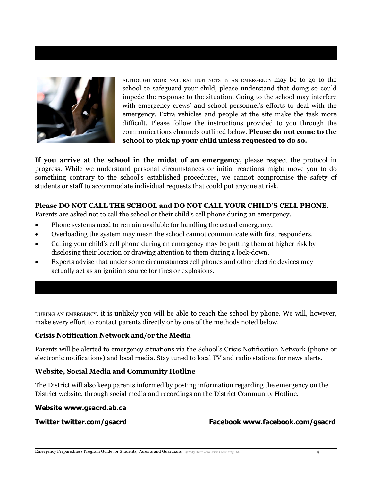

ALTHOUGH YOUR NATURAL INSTINCTS IN AN EMERGENCY may be to go to the school to safeguard your child, please understand that doing so could impede the response to the situation. Going to the school may interfere with emergency crews' and school personnel's efforts to deal with the emergency. Extra vehicles and people at the site make the task more difficult. Please follow the instructions provided to you through the communications channels outlined below. **Please do not come to the school to pick up your child unless requested to do so.**

**If you arrive at the school in the midst of an emergency**, please respect the protocol in progress. While we understand personal circumstances or initial reactions might move you to do something contrary to the school's established procedures, we cannot compromise the safety of students or staff to accommodate individual requests that could put anyone at risk.

### **Please DO NOT CALL THE SCHOOL and DO NOT CALL YOUR CHILD'S CELL PHONE.**

Parents are asked not to call the school or their child's cell phone during an emergency.

- Phone systems need to remain available for handling the actual emergency.
- Overloading the system may mean the school cannot communicate with first responders.
- Calling your child's cell phone during an emergency may be putting them at higher risk by disclosing their location or drawing attention to them during a lock-down.
- Experts advise that under some circumstances cell phones and other electric devices may actually act as an ignition source for fires or explosions.

DURING AN EMERGENCY, it is unlikely you will be able to reach the school by phone. We will, however, make every effort to contact parents directly or by one of the methods noted below.

#### **Crisis Notification Network and/or the Media**

Parents will be alerted to emergency situations via the School's Crisis Notification Network (phone or electronic notifications) and local media. Stay tuned to local TV and radio stations for news alerts.

#### **Website, Social Media and Community Hotline**

The District will also keep parents informed by posting information regarding the emergency on the District website, through social media and recordings on the District Community Hotline.

#### **Website www.gsacrd.ab.ca**

**Twitter twitter.com/gsacrd Facebook www.facebook.com/gsacrd**